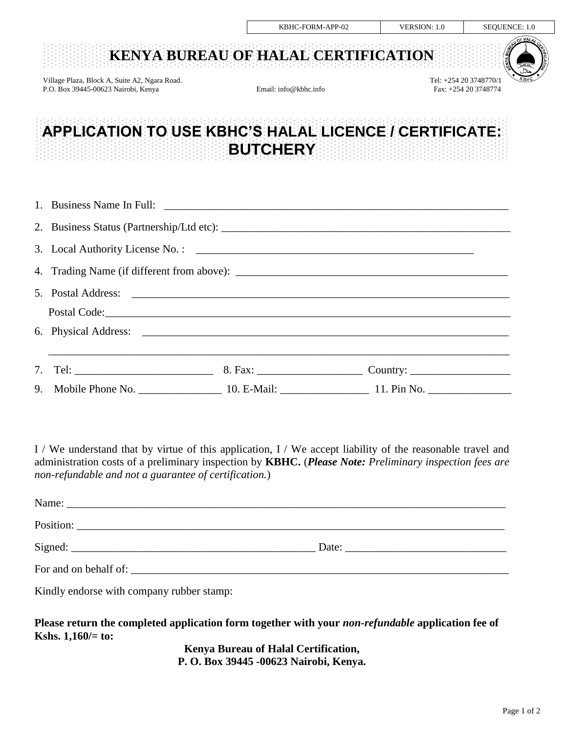|                                                                                      | KBHC-FORM-APP-02                                                                  | <b>VERSION: 1.0</b> | SEQUENCE: 1.0                                                 |  |
|--------------------------------------------------------------------------------------|-----------------------------------------------------------------------------------|---------------------|---------------------------------------------------------------|--|
|                                                                                      | KENYA BUREAU OF HALAL CERTIFICATION                                               |                     | OF HALA                                                       |  |
| Village Plaza, Block A, Suite A2, Ngara Road.<br>P.O. Box 39445-00623 Nairobi, Kenya | Email: info@kbhc.info                                                             |                     | <b>КВНС</b><br>Tel: +254 20 3748770/1<br>Fax: +254 20 3748774 |  |
|                                                                                      | APPLICATION TO USE KBHC'S HALAL LICENCE / CERTIFICATE:<br><b>BUTCHERY</b>         |                     |                                                               |  |
|                                                                                      |                                                                                   |                     |                                                               |  |
| 2.                                                                                   |                                                                                   |                     |                                                               |  |
| 3.                                                                                   |                                                                                   |                     |                                                               |  |
| 4.                                                                                   |                                                                                   |                     |                                                               |  |
| 5 <sub>1</sub>                                                                       |                                                                                   |                     |                                                               |  |
|                                                                                      |                                                                                   |                     |                                                               |  |
|                                                                                      |                                                                                   |                     |                                                               |  |
| $7_{\scriptscriptstyle{\ddots}}$                                                     | ,我们也不能在这里的人,我们也不能在这里的人,我们也不能在这里的人,我们也不能在这里的人,我们也不能在这里的人,我们也不能在这里的人,我们也不能在这里的人,我们也 |                     |                                                               |  |
| 9.                                                                                   |                                                                                   |                     |                                                               |  |

I / We understand that by virtue of this application, I / We accept liability of the reasonable travel and administration costs of a preliminary inspection by **KBHC.** (*Please Note: Preliminary inspection fees are non-refundable and not a guarantee of certification.*)

|                       | Date: the contract of the contract of the contract of the contract of the contract of the contract of the contract of the contract of the contract of the contract of the contract of the contract of the contract of the cont |
|-----------------------|--------------------------------------------------------------------------------------------------------------------------------------------------------------------------------------------------------------------------------|
| For and on behalf of: |                                                                                                                                                                                                                                |

Kindly endorse with company rubber stamp:

**Please return the completed application form together with your** *non-refundable* **application fee of Kshs. 1,160/= to:** 

> **Kenya Bureau of Halal Certification, P. O. Box 39445 -00623 Nairobi, Kenya.**